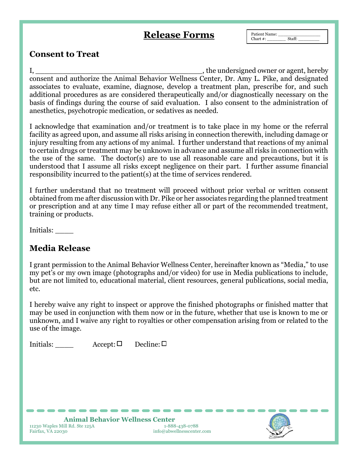## **Release Forms**

Patient Name: \_\_\_\_\_\_\_\_\_\_\_\_\_\_\_\_ Chart  $#$ :

## **Consent to Treat**

I, the undersigned owner or agent, hereby consent and authorize the Animal Behavior Wellness Center, Dr. Amy L. Pike, and designated associates to evaluate, examine, diagnose, develop a treatment plan, prescribe for, and such additional procedures as are considered therapeutically and/or diagnostically necessary on the basis of findings during the course of said evaluation. I also consent to the administration of anesthetics, psychotropic medication, or sedatives as needed.

I acknowledge that examination and/or treatment is to take place in my home or the referral facility as agreed upon, and assume all risks arising in connection therewith, including damage or injury resulting from any actions of my animal. I further understand that reactions of my animal to certain drugs or treatment may be unknown in advance and assume all risks in connection with the use of the same. The doctor(s) are to use all reasonable care and precautions, but it is understood that I assume all risks except negligence on their part. I further assume financial responsibility incurred to the patient(s) at the time of services rendered.

I further understand that no treatment will proceed without prior verbal or written consent obtained from me after discussion with Dr. Pike or her associates regarding the planned treatment or prescription and at any time I may refuse either all or part of the recommended treatment, training or products.

Initials: \_\_\_\_

## **Media Release**

I grant permission to the Animal Behavior Wellness Center, hereinafter known as "Media," to use my pet's or my own image (photographs and/or video) for use in Media publications to include, but are not limited to, educational material, client resources, general publications, social media, etc.

I hereby waive any right to inspect or approve the finished photographs or finished matter that may be used in conjunction with them now or in the future, whether that use is known to me or unknown, and I waive any right to royalties or other compensation arising from or related to the use of the image.

Initials:  $\Delta \text{Accept}: \Box$  Decline:  $\Box$ 



**Animal Behavior Wellness Center**<br> **ill Rd. Ste 125A**<br> **1-888-438-0788** 11230 Waples Mill Rd. Ste 125A<br>**Fairfax, VA 22030** 

 $info@abwellnesscenter.com$